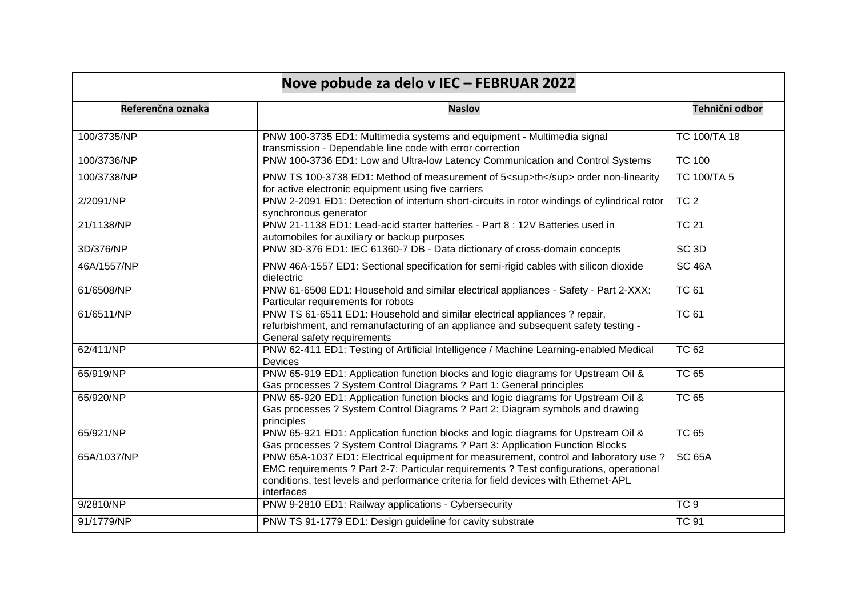| Nove pobude za delo v IEC - FEBRUAR 2022 |                                                                                                                                                                                                                                                                                       |                  |
|------------------------------------------|---------------------------------------------------------------------------------------------------------------------------------------------------------------------------------------------------------------------------------------------------------------------------------------|------------------|
| Referenčna oznaka                        | <b>Naslov</b>                                                                                                                                                                                                                                                                         | Tehnični odbor   |
| 100/3735/NP                              | PNW 100-3735 ED1: Multimedia systems and equipment - Multimedia signal<br>transmission - Dependable line code with error correction                                                                                                                                                   | TC 100/TA 18     |
| 100/3736/NP                              | PNW 100-3736 ED1: Low and Ultra-low Latency Communication and Control Systems                                                                                                                                                                                                         | <b>TC 100</b>    |
| 100/3738/NP                              | PNW TS 100-3738 ED1: Method of measurement of 5 <sup>th</sup> order non-linearity<br>for active electronic equipment using five carriers                                                                                                                                              | TC 100/TA 5      |
| 2/2091/NP                                | PNW 2-2091 ED1: Detection of interturn short-circuits in rotor windings of cylindrical rotor<br>synchronous generator                                                                                                                                                                 | TC <sub>2</sub>  |
| 21/1138/NP                               | PNW 21-1138 ED1: Lead-acid starter batteries - Part 8 : 12V Batteries used in<br>automobiles for auxiliary or backup purposes                                                                                                                                                         | <b>TC 21</b>     |
| 3D/376/NP                                | PNW 3D-376 ED1: IEC 61360-7 DB - Data dictionary of cross-domain concepts                                                                                                                                                                                                             | SC <sub>3D</sub> |
| 46A/1557/NP                              | PNW 46A-1557 ED1: Sectional specification for semi-rigid cables with silicon dioxide<br>dielectric                                                                                                                                                                                    | <b>SC 46A</b>    |
| 61/6508/NP                               | PNW 61-6508 ED1: Household and similar electrical appliances - Safety - Part 2-XXX:<br>Particular requirements for robots                                                                                                                                                             | <b>TC 61</b>     |
| 61/6511/NP                               | PNW TS 61-6511 ED1: Household and similar electrical appliances ? repair,<br>refurbishment, and remanufacturing of an appliance and subsequent safety testing -<br>General safety requirements                                                                                        | <b>TC 61</b>     |
| 62/411/NP                                | PNW 62-411 ED1: Testing of Artificial Intelligence / Machine Learning-enabled Medical<br>Devices                                                                                                                                                                                      | <b>TC 62</b>     |
| 65/919/NP                                | PNW 65-919 ED1: Application function blocks and logic diagrams for Upstream Oil &<br>Gas processes ? System Control Diagrams ? Part 1: General principles                                                                                                                             | <b>TC 65</b>     |
| 65/920/NP                                | PNW 65-920 ED1: Application function blocks and logic diagrams for Upstream Oil &<br>Gas processes ? System Control Diagrams ? Part 2: Diagram symbols and drawing<br>principles                                                                                                      | <b>TC 65</b>     |
| 65/921/NP                                | PNW 65-921 ED1: Application function blocks and logic diagrams for Upstream Oil &<br>Gas processes ? System Control Diagrams ? Part 3: Application Function Blocks                                                                                                                    | <b>TC 65</b>     |
| 65A/1037/NP                              | PNW 65A-1037 ED1: Electrical equipment for measurement, control and laboratory use ?<br>EMC requirements ? Part 2-7: Particular requirements ? Test configurations, operational<br>conditions, test levels and performance criteria for field devices with Ethernet-APL<br>interfaces | <b>SC 65A</b>    |
| 9/2810/NP                                | PNW 9-2810 ED1: Railway applications - Cybersecurity                                                                                                                                                                                                                                  | TC <sub>9</sub>  |
| 91/1779/NP                               | PNW TS 91-1779 ED1: Design guideline for cavity substrate                                                                                                                                                                                                                             | <b>TC 91</b>     |